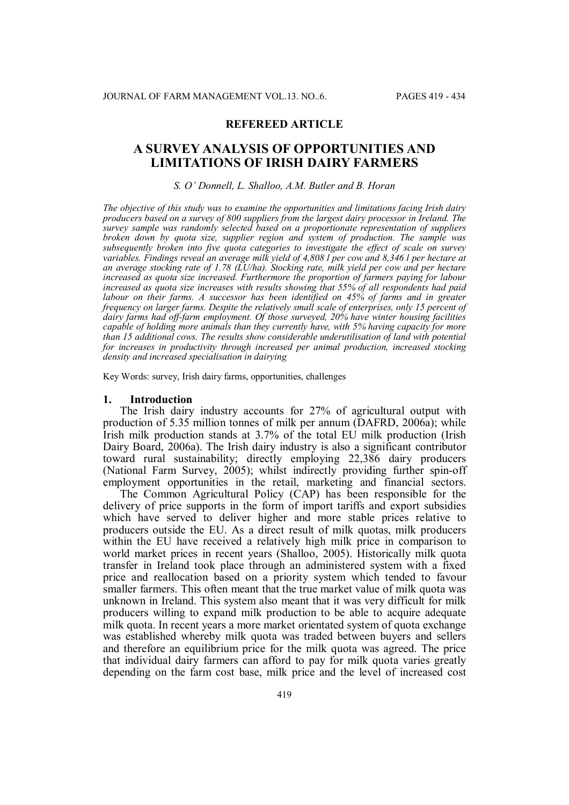## **REFEREED ARTICLE**

# **A SURVEY ANALYSIS OF OPPORTUNITIES AND LIMITATIONS OF IRISH DAIRY FARMERS**

## *S. O' Donnell, L. Shalloo, A.M. Butler and B. Horan*

*The objective of this study was to examine the opportunities and limitations facing Irish dairy producers based on a survey of 800 suppliers from the largest dairy processor in Ireland. The survey sample was randomly selected based on a proportionate representation of suppliers broken down by quota size, supplier region and system of production. The sample was subsequently broken into five quota categories to investigate the effect of scale on survey variables. Findings reveal an average milk yield of 4,808 l per cow and 8,346 l per hectare at an average stocking rate of 1.78 (LU/ha). Stocking rate, milk yield per cow and per hectare increased as quota size increased. Furthermore the proportion of farmers paying for labour increased as quota size increases with results showing that 55% of all respondents had paid labour on their farms. A successor has been identified on 45% of farms and in greater frequency on larger farms. Despite the relatively small scale of enterprises, only 15 percent of dairy farms had off-farm employment. Of those surveyed, 20% have winter housing facilities capable of holding more animals than they currently have, with 5% having capacity for more than 15 additional cows. The results show considerable underutilisation of land with potential for increases in productivity through increased per animal production, increased stocking density and increased specialisation in dairying*

Key Words: survey, Irish dairy farms, opportunities, challenges

#### **1. Introduction**

The Irish dairy industry accounts for 27% of agricultural output with production of 5.35 million tonnes of milk per annum (DAFRD, 2006a); while Irish milk production stands at 3.7% of the total EU milk production (Irish Dairy Board, 2006a). The Irish dairy industry is also a significant contributor toward rural sustainability; directly employing 22,386 dairy producers (National Farm Survey, 2005); whilst indirectly providing further spin-off employment opportunities in the retail, marketing and financial sectors.

The Common Agricultural Policy (CAP) has been responsible for the delivery of price supports in the form of import tariffs and export subsidies which have served to deliver higher and more stable prices relative to producers outside the EU. As a direct result of milk quotas, milk producers within the EU have received a relatively high milk price in comparison to world market prices in recent years (Shalloo, 2005). Historically milk quota transfer in Ireland took place through an administered system with a fixed price and reallocation based on a priority system which tended to favour smaller farmers. This often meant that the true market value of milk quota was unknown in Ireland. This system also meant that it was very difficult for milk producers willing to expand milk production to be able to acquire adequate milk quota. In recent years a more market orientated system of quota exchange was established whereby milk quota was traded between buyers and sellers and therefore an equilibrium price for the milk quota was agreed. The price that individual dairy farmers can afford to pay for milk quota varies greatly depending on the farm cost base, milk price and the level of increased cost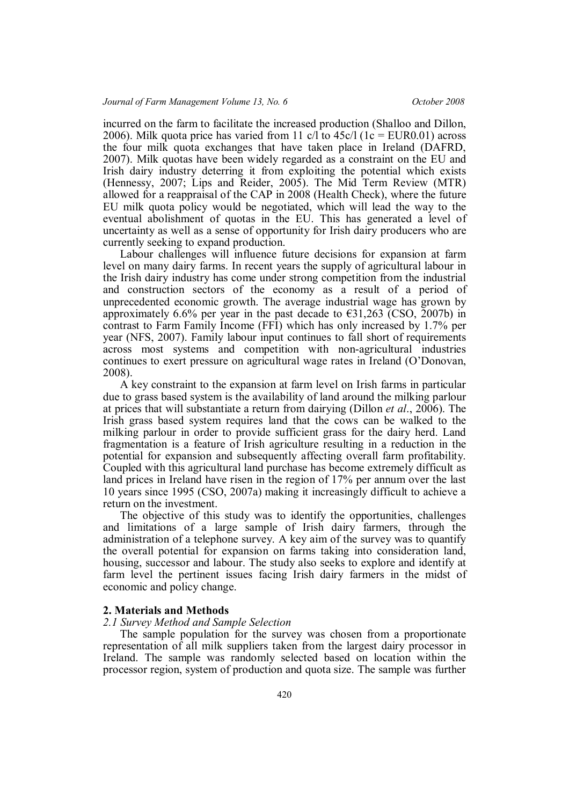incurred on the farm to facilitate the increased production (Shalloo and Dillon, 2006). Milk quota price has varied from 11 c/l to  $45c/1$  (1c = EUR0.01) across the four milk quota exchanges that have taken place in Ireland (DAFRD, 2007). Milk quotas have been widely regarded as a constraint on the EU and Irish dairy industry deterring it from exploiting the potential which exists (Hennessy, 2007; Lips and Reider, 2005). The Mid Term Review (MTR) allowed for a reappraisal of the CAP in 2008 (Health Check), where the future EU milk quota policy would be negotiated, which will lead the way to the eventual abolishment of quotas in the EU. This has generated a level of uncertainty as well as a sense of opportunity for Irish dairy producers who are currently seeking to expand production.

Labour challenges will influence future decisions for expansion at farm level on many dairy farms. In recent years the supply of agricultural labour in the Irish dairy industry has come under strong competition from the industrial and construction sectors of the economy as a result of a period of unprecedented economic growth. The average industrial wage has grown by approximately 6.6% per year in the past decade to  $\epsilon$ 31,263 (CSO, 2007b) in contrast to Farm Family Income (FFI) which has only increased by 1.7% per year (NFS, 2007). Family labour input continues to fall short of requirements across most systems and competition with non-agricultural industries continues to exert pressure on agricultural wage rates in Ireland (O'Donovan, 2008).

A key constraint to the expansion at farm level on Irish farms in particular due to grass based system is the availability of land around the milking parlour at prices that will substantiate a return from dairying (Dillon *et al*., 2006). The Irish grass based system requires land that the cows can be walked to the milking parlour in order to provide sufficient grass for the dairy herd. Land fragmentation is a feature of Irish agriculture resulting in a reduction in the potential for expansion and subsequently affecting overall farm profitability. Coupled with this agricultural land purchase has become extremely difficult as land prices in Ireland have risen in the region of 17% per annum over the last 10 years since 1995 (CSO, 2007a) making it increasingly difficult to achieve a return on the investment.

The objective of this study was to identify the opportunities, challenges and limitations of a large sample of Irish dairy farmers, through the administration of a telephone survey. A key aim of the survey was to quantify the overall potential for expansion on farms taking into consideration land, housing, successor and labour. The study also seeks to explore and identify at farm level the pertinent issues facing Irish dairy farmers in the midst of economic and policy change.

## **2. Materials and Methods**

## *2.1 Survey Method and Sample Selection*

The sample population for the survey was chosen from a proportionate representation of all milk suppliers taken from the largest dairy processor in Ireland. The sample was randomly selected based on location within the processor region, system of production and quota size. The sample was further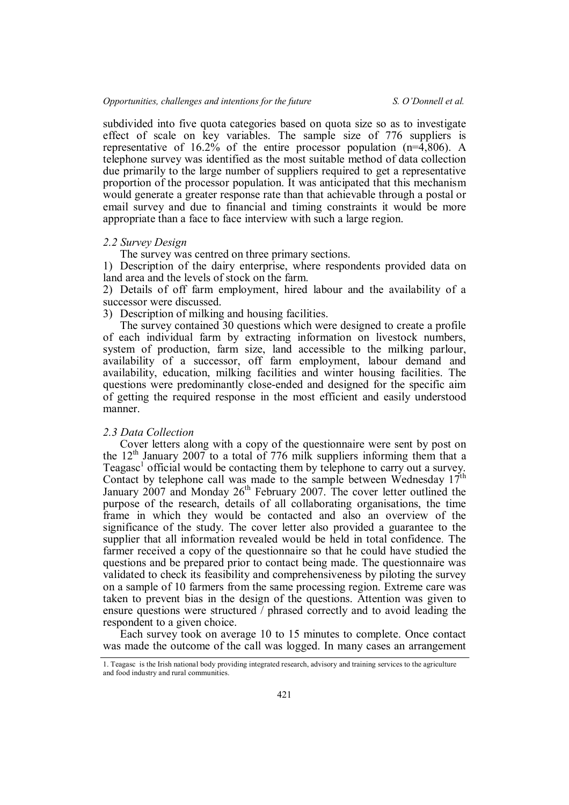subdivided into five quota categories based on quota size so as to investigate effect of scale on key variables. The sample size of 776 suppliers is representative of 16.2% of the entire processor population (n=4,806). A telephone survey was identified as the most suitable method of data collection due primarily to the large number of suppliers required to get a representative proportion of the processor population. It was anticipated that this mechanism would generate a greater response rate than that achievable through a postal or email survey and due to financial and timing constraints it would be more appropriate than a face to face interview with such a large region.

## *2.2 Survey Design*

The survey was centred on three primary sections.

1) Description of the dairy enterprise, where respondents provided data on land area and the levels of stock on the farm.

2) Details of off farm employment, hired labour and the availability of a successor were discussed.

3) Description of milking and housing facilities.

The survey contained 30 questions which were designed to create a profile of each individual farm by extracting information on livestock numbers, system of production, farm size, land accessible to the milking parlour, availability of a successor, off farm employment, labour demand and availability, education, milking facilities and winter housing facilities. The questions were predominantly close-ended and designed for the specific aim of getting the required response in the most efficient and easily understood manner.

## *2.3 Data Collection*

Cover letters along with a copy of the questionnaire were sent by post on the  $12<sup>th</sup>$  January 2007 to a total of 776 milk suppliers informing them that a Teagasc<sup>1</sup> official would be contacting them by telephone to carry out a survey. Contact by telephone call was made to the sample between Wednesday 17<sup>th</sup> January 2007 and Monday 26<sup>th</sup> February 2007. The cover letter outlined the purpose of the research, details of all collaborating organisations, the time frame in which they would be contacted and also an overview of the significance of the study. The cover letter also provided a guarantee to the supplier that all information revealed would be held in total confidence. The farmer received a copy of the questionnaire so that he could have studied the questions and be prepared prior to contact being made. The questionnaire was validated to check its feasibility and comprehensiveness by piloting the survey on a sample of 10 farmers from the same processing region. Extreme care was taken to prevent bias in the design of the questions. Attention was given to ensure questions were structured / phrased correctly and to avoid leading the respondent to a given choice.

Each survey took on average 10 to 15 minutes to complete. Once contact was made the outcome of the call was logged. In many cases an arrangement

<sup>1.</sup> Teagasc is the Irish national body providing integrated research, advisory and training services to the agriculture and food industry and rural communities.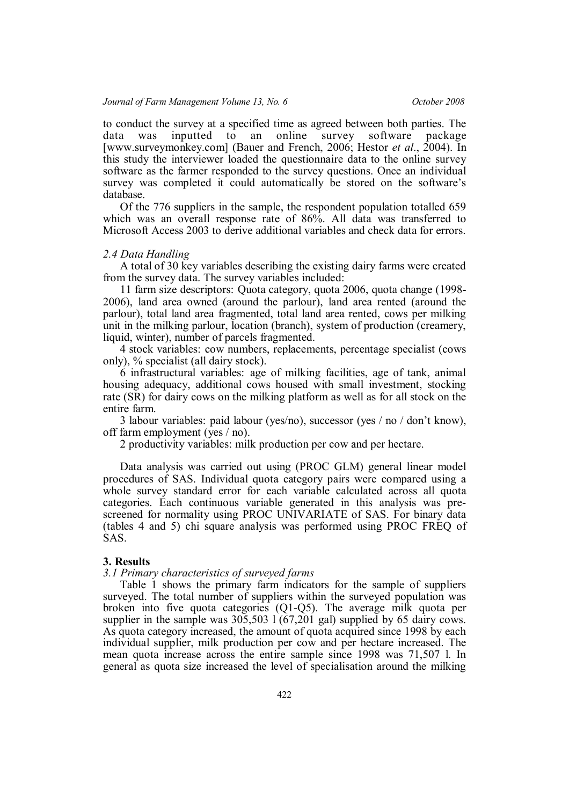to conduct the survey at a specified time as agreed between both parties. The data was inputted to an online survey software package [www.surveymonkey.com] (Bauer and French, 2006; Hestor *et al*., 2004). In this study the interviewer loaded the questionnaire data to the online survey software as the farmer responded to the survey questions. Once an individual survey was completed it could automatically be stored on the software's database.

Of the 776 suppliers in the sample, the respondent population totalled 659 which was an overall response rate of 86%. All data was transferred to Microsoft Access 2003 to derive additional variables and check data for errors.

#### *2.4 Data Handling*

A total of 30 key variables describing the existing dairy farms were created from the survey data. The survey variables included:

11 farm size descriptors: Quota category, quota 2006, quota change (1998- 2006), land area owned (around the parlour), land area rented (around the parlour), total land area fragmented, total land area rented, cows per milking unit in the milking parlour, location (branch), system of production (creamery, liquid, winter), number of parcels fragmented.

4 stock variables: cow numbers, replacements, percentage specialist (cows only), % specialist (all dairy stock).

6 infrastructural variables: age of milking facilities, age of tank, animal housing adequacy, additional cows housed with small investment, stocking rate (SR) for dairy cows on the milking platform as well as for all stock on the entire farm.

3 labour variables: paid labour (yes/no), successor (yes / no / don't know), off farm employment (yes / no).

2 productivity variables: milk production per cow and per hectare.

Data analysis was carried out using (PROC GLM) general linear model procedures of SAS. Individual quota category pairs were compared using a whole survey standard error for each variable calculated across all quota categories. Each continuous variable generated in this analysis was prescreened for normality using PROC UNIVARIATE of SAS. For binary data (tables 4 and 5) chi square analysis was performed using PROC FREQ of SAS.

## **3. Results**

## *3.1 Primary characteristics of surveyed farms*

Table 1 shows the primary farm indicators for the sample of suppliers surveyed. The total number of suppliers within the surveyed population was broken into five quota categories (Q1-Q5). The average milk quota per supplier in the sample was 305,503 l (67,201 gal) supplied by 65 dairy cows. As quota category increased, the amount of quota acquired since 1998 by each individual supplier, milk production per cow and per hectare increased. The mean quota increase across the entire sample since 1998 was 71,507 l. In general as quota size increased the level of specialisation around the milking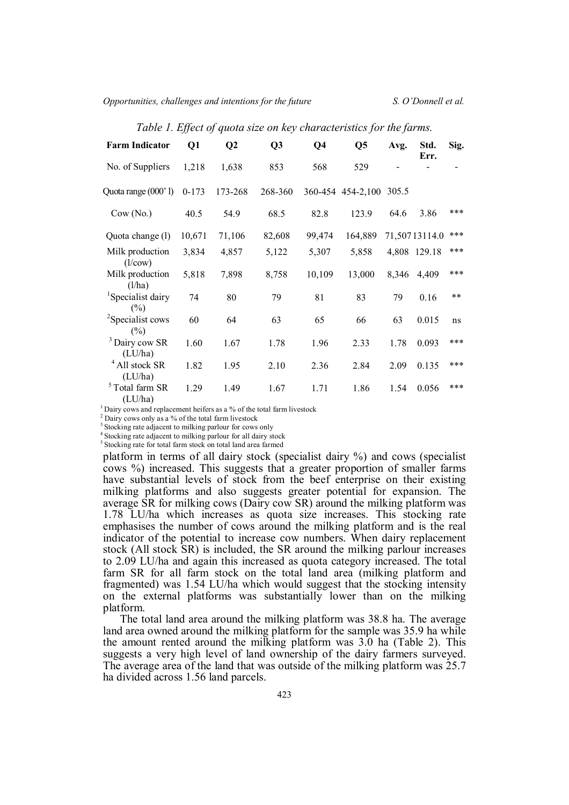*Opportunities, challenges and intentions for the future S. O'Donnell et al.*

| <b>Farm Indicator</b>                   | Q1      | Q <sub>2</sub> | Q <sub>3</sub> | Q <sub>4</sub> | Q <sub>5</sub>    | Avg.  | Std.<br>Err.  | Sig. |
|-----------------------------------------|---------|----------------|----------------|----------------|-------------------|-------|---------------|------|
| No. of Suppliers                        | 1,218   | 1,638          | 853            | 568            | 529               |       |               |      |
| Quota range (000'l)                     | $0-173$ | 173-268        | 268-360        |                | 360-454 454-2,100 | 305.5 |               |      |
| Cow(No.)                                | 40.5    | 54.9           | 68.5           | 82.8           | 123.9             | 64.6  | 3.86          | ***  |
| Quota change (l)                        | 10,671  | 71,106         | 82,608         | 99,474         | 164,889           |       | 71,50713114.0 | ***  |
| Milk production<br>(l/cow)              | 3,834   | 4,857          | 5,122          | 5,307          | 5,858             | 4,808 | 129.18        | ***  |
| Milk production<br>(l/ha)               | 5,818   | 7,898          | 8,758          | 10,109         | 13,000            | 8,346 | 4,409         | ***  |
| <sup>1</sup> Specialist dairy<br>$(\%)$ | 74      | 80             | 79             | 81             | 83                | 79    | 0.16          | **   |
| <sup>2</sup> Specialist cows<br>$(\%)$  | 60      | 64             | 63             | 65             | 66                | 63    | 0.015         | ns   |
| <sup>3</sup> Dairy cow SR<br>(LU/ha)    | 1.60    | 1.67           | 1.78           | 1.96           | 2.33              | 1.78  | 0.093         | ***  |
| <sup>4</sup> All stock SR<br>(LU/ha)    | 1.82    | 1.95           | 2.10           | 2.36           | 2.84              | 2.09  | 0.135         | ***  |
| $5$ Total farm SR<br>(LU/ha)            | 1.29    | 1.49           | 1.67           | 1.71           | 1.86              | 1.54  | 0.056         | ***  |

*Table 1. Effect of quota size on key characteristics for the farms.*

 $1$  Dairy cows and replacement heifers as a % of the total farm livestock

<sup>2</sup> Dairy cows only as a % of the total farm livestock

<sup>3</sup> Stocking rate adjacent to milking parlour for cows only 4

Stocking rate adjacent to milking parlour for all dairy stock

<sup>5</sup> Stocking rate for total farm stock on total land area farmed

platform in terms of all dairy stock (specialist dairy %) and cows (specialist cows %) increased. This suggests that a greater proportion of smaller farms have substantial levels of stock from the beef enterprise on their existing milking platforms and also suggests greater potential for expansion. The average SR for milking cows (Dairy cow SR) around the milking platform was 1.78 LU/ha which increases as quota size increases. This stocking rate emphasises the number of cows around the milking platform and is the real indicator of the potential to increase cow numbers. When dairy replacement stock (All stock SR) is included, the SR around the milking parlour increases to 2.09 LU/ha and again this increased as quota category increased. The total farm SR for all farm stock on the total land area (milking platform and fragmented) was 1.54 LU/ha which would suggest that the stocking intensity on the external platforms was substantially lower than on the milking platform.

The total land area around the milking platform was 38.8 ha. The average land area owned around the milking platform for the sample was 35.9 ha while the amount rented around the milking platform was 3.0 ha (Table 2). This suggests a very high level of land ownership of the dairy farmers surveyed. The average area of the land that was outside of the milking platform was 25.7 ha divided across 1.56 land parcels.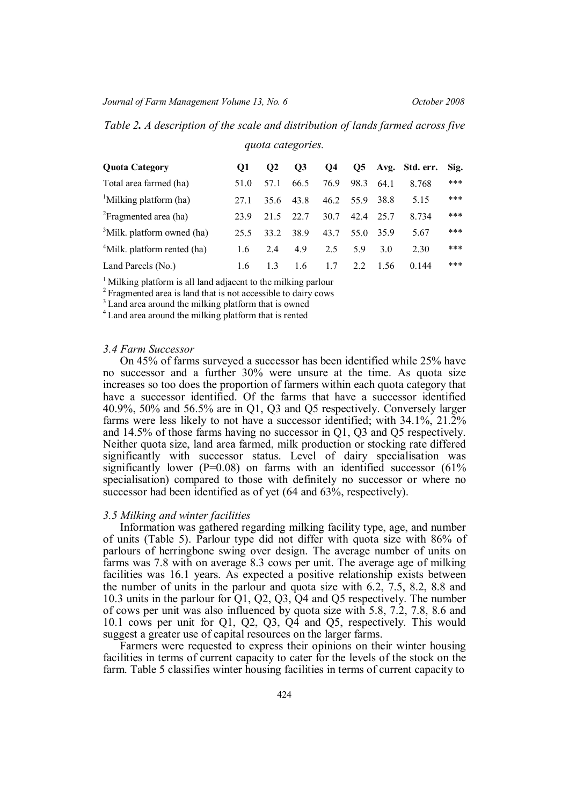*Table 2. A description of the scale and distribution of lands farmed across five*

| <b>Quota Category</b>                  | 01   | O <sub>2</sub> | $\overline{O3}$ | <b>O4</b> |      |      | Q5 Avg. Std. err. Sig. |     |
|----------------------------------------|------|----------------|-----------------|-----------|------|------|------------------------|-----|
| Total area farmed (ha)                 | 51.0 | 57.1           | 66.5            | 76.9      | 98.3 | 64 1 | 8.768                  | *** |
| <sup>1</sup> Milking platform (ha)     | 27.1 | 35.6           | 43.8            | 46.2      | 55.9 | 38.8 | 5.15                   | *** |
| <sup>2</sup> Fragmented area (ha)      | 23.9 | 21.5           | 22.7            | 30.7      | 42.4 | 25.7 | 8.734                  | *** |
| <sup>3</sup> Milk. platform owned (ha) | 25.5 | 33.2           | 38.9            | 43.7      | 55.0 | 35.9 | 5.67                   | *** |
| $4$ Milk. platform rented (ha)         | 1.6  | 24             | 4.9             | 2.5       | 59   | 3 O  | 2.30                   | *** |
| Land Parcels (No.)                     | 1.6  | 13             | 1.6             | 1.7       | 2.2  | 1.56 | 0.144                  | *** |

*quota categories.*

<sup>1</sup> Milking platform is all land adjacent to the milking parlour

<sup>2</sup> Fragmented area is land that is not accessible to dairy cows

<sup>3</sup> Land area around the milking platform that is owned

<sup>4</sup> Land area around the milking platform that is rented

## *3.4 Farm Successor*

On 45% of farms surveyed a successor has been identified while 25% have no successor and a further 30% were unsure at the time. As quota size increases so too does the proportion of farmers within each quota category that have a successor identified. Of the farms that have a successor identified 40.9%, 50% and 56.5% are in Q1, Q3 and Q5 respectively. Conversely larger farms were less likely to not have a successor identified; with 34.1%, 21.2% and 14.5% of those farms having no successor in Q1, Q3 and Q5 respectively. Neither quota size, land area farmed, milk production or stocking rate differed significantly with successor status. Level of dairy specialisation was significantly lower ( $P=0.08$ ) on farms with an identified successor ( $61\%$ ) specialisation) compared to those with definitely no successor or where no successor had been identified as of yet (64 and 63%, respectively).

### *3.5 Milking and winter facilities*

Information was gathered regarding milking facility type, age, and number of units (Table 5). Parlour type did not differ with quota size with 86% of parlours of herringbone swing over design. The average number of units on farms was 7.8 with on average 8.3 cows per unit. The average age of milking facilities was 16.1 years. As expected a positive relationship exists between the number of units in the parlour and quota size with 6.2, 7.5, 8.2, 8.8 and 10.3 units in the parlour for Q1, Q2, Q3, Q4 and Q5 respectively. The number of cows per unit was also influenced by quota size with 5.8, 7.2, 7.8, 8.6 and 10.1 cows per unit for Q1, Q2, Q3, Q4 and Q5, respectively. This would suggest a greater use of capital resources on the larger farms.

Farmers were requested to express their opinions on their winter housing facilities in terms of current capacity to cater for the levels of the stock on the farm. Table 5 classifies winter housing facilities in terms of current capacity to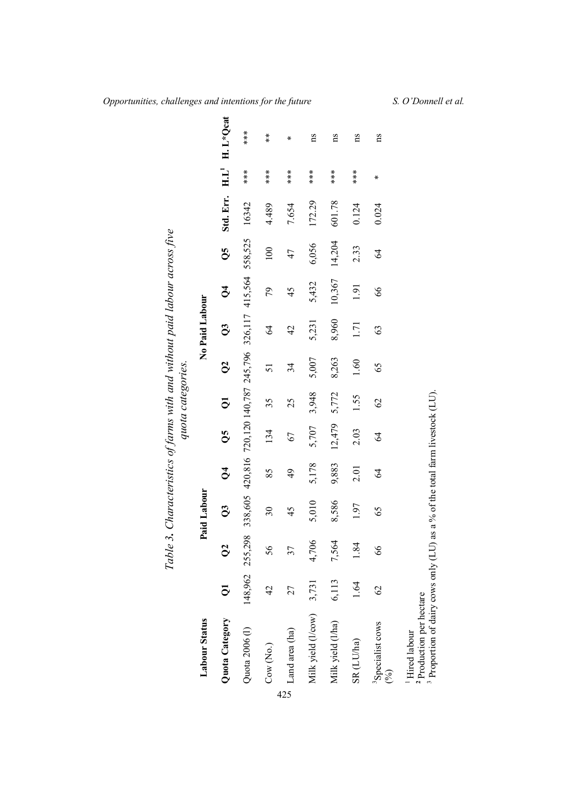| Labour Status                                                                                                       |                |                 | Paid Labour    |                                                         |                | quota categories. |                | No Paid Labour |                      |                  |           |       |               |
|---------------------------------------------------------------------------------------------------------------------|----------------|-----------------|----------------|---------------------------------------------------------|----------------|-------------------|----------------|----------------|----------------------|------------------|-----------|-------|---------------|
| Quota Category                                                                                                      | $\overline{5}$ | $\infty$        | $\overline{Q}$ | $\beta$                                                 | $\overline{O}$ | $\overline{Q}$    | $\overline{O}$ | $\overline{Q}$ | $\breve{\mathbf{C}}$ | $\overline{Q}$ 5 | Std. Err. | HL    | H. L*Qcat     |
| Quota 2006 (l)                                                                                                      |                | 148,962 255,298 |                | 338,605 420,816 720,120 140,787 245,796 326,117 415,564 |                |                   |                |                |                      | 558,525          | 16342     |       | $***$         |
| Cow (No.)                                                                                                           | $\frac{1}{4}$  | 56              | 30             | 85                                                      | 134            | 35                | 51             | 64             | 79                   | 100              | 4.489     | $***$ | $\frac{*}{*}$ |
| Land area (ha)                                                                                                      | 27             | 37              | 45             | 49                                                      | 67             | 25                | 34             | 42             | 45                   | 47               | 7.654     | $***$ | ∗             |
| Milk yield (Vcow)                                                                                                   | 3,731          | 4,706           | 5,010          | 5,178                                                   | 5,707          | 3,948             | 5,007          | 5,231          | 5,432                | 6,056            | 172.29    | $***$ | ns            |
| Milk yield (l/ha)                                                                                                   | 6,113          | 7,564           | 8,586          | 9,883                                                   | 12,479         | 5,772             | 8,263          | 8,960          | 10,367               | 14,204           | 601.78    | $***$ | ns            |
| SR (LU/ha)                                                                                                          | 1.64           | 1.84            | 1.97           | 2.01                                                    | 2.03           | 1.55              | 1.60           | 1.71           | 1.91                 | 2.33             | 0.124     | ***   | ns            |
| <sup>3</sup> Specialist cows<br>$\mathcal{E}$                                                                       | $\mathcal{S}$  | 89              | 65             | 2                                                       | 2              | $\mathcal{O}$     | 65             | 63             | $\delta$             | $\Im$            | 0.024     | ⊁     | ns            |
| <sup>3</sup> Proportion of dairy cows only (LU)<br><sup>2</sup> Production per hectare<br><sup>1</sup> Hired labour |                |                 |                | as a % of the total farm livestock (LU).                |                |                   |                |                |                      |                  |           |       |               |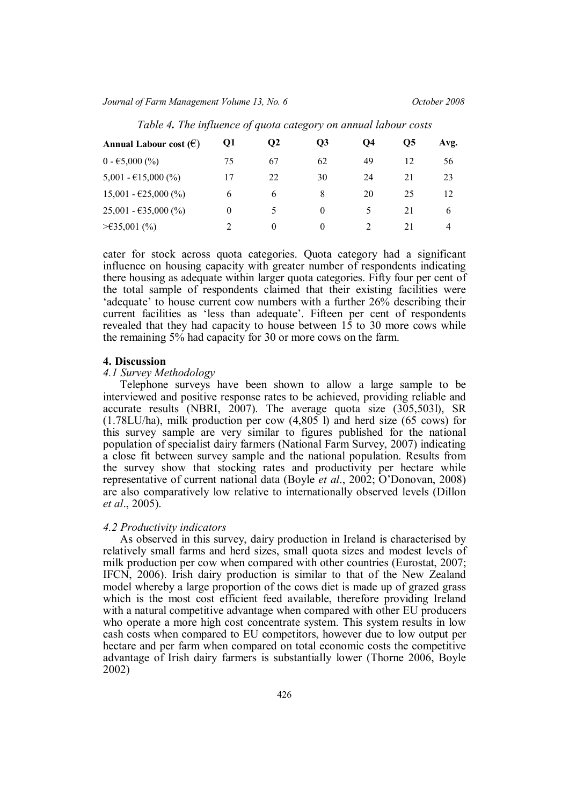*Journal of Farm Management Volume 13, No. 6 October 2008*

| Annual Labour cost $(\epsilon)$ | Q1 | $\mathbf{Q2}$ | <b>O3</b> | <b>O4</b>     | Ο5 | Avg. |
|---------------------------------|----|---------------|-----------|---------------|----|------|
| $0 - 65,000\,(%)$               | 75 | 67            | 62        | 49            | 12 | 56   |
| $5,001 - 615,000$ (%)           | 17 | 22            | 30        | 24            | 21 | 23   |
| $15,001 - \text{£}25,000$ (%)   | 6  | 6             | 8         | 20            | 25 | 12   |
| $25,001 - 635,000$ (%)          | 0  |               | $\theta$  | $\rightarrow$ | 21 | 6    |
| $≥$ €35,001 (%)                 |    | $\theta$      | $\theta$  |               | 21 | 4    |

*Table 4. The influence of quota category on annual labour costs*

cater for stock across quota categories. Quota category had a significant influence on housing capacity with greater number of respondents indicating there housing as adequate within larger quota categories. Fifty four per cent of the total sample of respondents claimed that their existing facilities were 'adequate' to house current cow numbers with a further 26% describing their current facilities as 'less than adequate'. Fifteen per cent of respondents revealed that they had capacity to house between 15 to 30 more cows while the remaining 5% had capacity for 30 or more cows on the farm.

#### **4. Discussion**

## *4.1 Survey Methodology*

Telephone surveys have been shown to allow a large sample to be interviewed and positive response rates to be achieved, providing reliable and accurate results (NBRI, 2007). The average quota size (305,5031), SR (1.78LU/ha), milk production per cow (4,805 l) and herd size (65 cows) for this survey sample are very similar to figures published for the national population of specialist dairy farmers (National Farm Survey, 2007) indicating a close fit between survey sample and the national population. Results from the survey show that stocking rates and productivity per hectare while representative of current national data (Boyle *et al*., 2002; O'Donovan, 2008) are also comparatively low relative to internationally observed levels (Dillon *et al*., 2005).

### *4.2 Productivity indicators*

As observed in this survey, dairy production in Ireland is characterised by relatively small farms and herd sizes, small quota sizes and modest levels of milk production per cow when compared with other countries (Eurostat, 2007; IFCN, 2006). Irish dairy production is similar to that of the New Zealand model whereby a large proportion of the cows diet is made up of grazed grass which is the most cost efficient feed available, therefore providing Ireland with a natural competitive advantage when compared with other EU producers who operate a more high cost concentrate system. This system results in low cash costs when compared to EU competitors, however due to low output per hectare and per farm when compared on total economic costs the competitive advantage of Irish dairy farmers is substantially lower (Thorne 2006, Boyle 2002)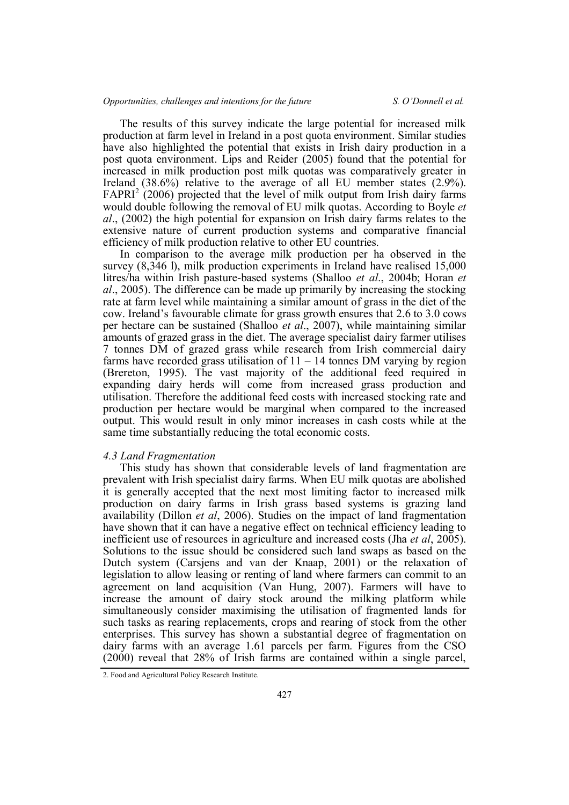The results of this survey indicate the large potential for increased milk production at farm level in Ireland in a post quota environment. Similar studies have also highlighted the potential that exists in Irish dairy production in a post quota environment. Lips and Reider (2005) found that the potential for increased in milk production post milk quotas was comparatively greater in Ireland (38.6%) relative to the average of all EU member states (2.9%).  $FAPRI<sup>2</sup>$  (2006) projected that the level of milk output from Irish dairy farms would double following the removal of EU milk quotas. According to Boyle *et al*., (2002) the high potential for expansion on Irish dairy farms relates to the extensive nature of current production systems and comparative financial efficiency of milk production relative to other EU countries.

In comparison to the average milk production per ha observed in the survey (8,346 l), milk production experiments in Ireland have realised 15,000 litres/ha within Irish pasture-based systems (Shalloo *et al*., 2004b; Horan *et al*., 2005). The difference can be made up primarily by increasing the stocking rate at farm level while maintaining a similar amount of grass in the diet of the cow. Ireland's favourable climate for grass growth ensures that 2.6 to 3.0 cows per hectare can be sustained (Shalloo *et al*., 2007), while maintaining similar amounts of grazed grass in the diet. The average specialist dairy farmer utilises 7 tonnes DM of grazed grass while research from Irish commercial dairy farms have recorded grass utilisation of  $11 - 14$  tonnes DM varying by region (Brereton, 1995). The vast majority of the additional feed required in expanding dairy herds will come from increased grass production and utilisation. Therefore the additional feed costs with increased stocking rate and production per hectare would be marginal when compared to the increased output. This would result in only minor increases in cash costs while at the same time substantially reducing the total economic costs.

## *4.3 Land Fragmentation*

This study has shown that considerable levels of land fragmentation are prevalent with Irish specialist dairy farms. When EU milk quotas are abolished it is generally accepted that the next most limiting factor to increased milk production on dairy farms in Irish grass based systems is grazing land availability (Dillon *et al*, 2006). Studies on the impact of land fragmentation have shown that it can have a negative effect on technical efficiency leading to inefficient use of resources in agriculture and increased costs (Jha *et al*, 2005). Solutions to the issue should be considered such land swaps as based on the Dutch system (Carsjens and van der Knaap, 2001) or the relaxation of legislation to allow leasing or renting of land where farmers can commit to an agreement on land acquisition (Van Hung, 2007). Farmers will have to increase the amount of dairy stock around the milking platform while simultaneously consider maximising the utilisation of fragmented lands for such tasks as rearing replacements, crops and rearing of stock from the other enterprises. This survey has shown a substantial degree of fragmentation on dairy farms with an average 1.61 parcels per farm. Figures from the CSO (2000) reveal that 28% of Irish farms are contained within a single parcel,

<sup>2.</sup> Food and Agricultural Policy Research Institute.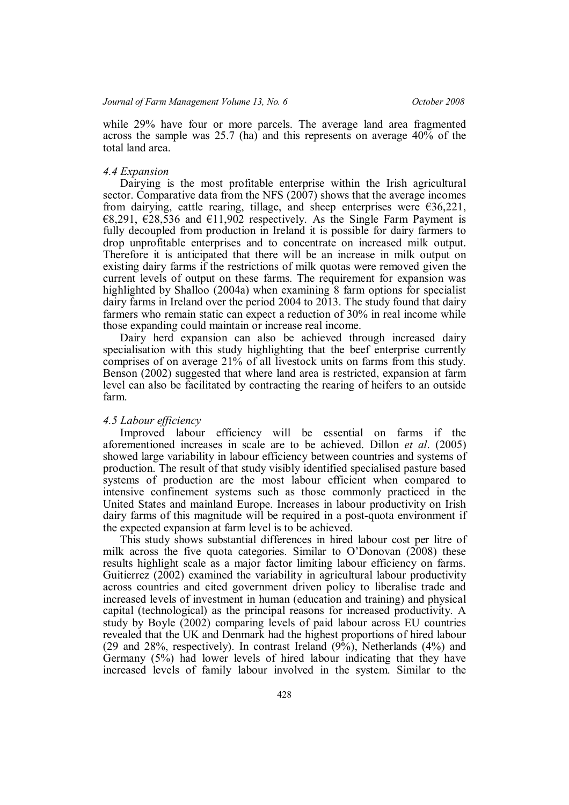while 29% have four or more parcels. The average land area fragmented across the sample was 25.7 (ha) and this represents on average 40% of the total land area.

### *4.4 Expansion*

Dairying is the most profitable enterprise within the Irish agricultural sector. Comparative data from the NFS (2007) shows that the average incomes from dairying, cattle rearing, tillage, and sheep enterprises were  $\epsilon$ 36,221,  $€8,291, €28,536$  and  $€11,902$  respectively. As the Single Farm Payment is fully decoupled from production in Ireland it is possible for dairy farmers to drop unprofitable enterprises and to concentrate on increased milk output. Therefore it is anticipated that there will be an increase in milk output on existing dairy farms if the restrictions of milk quotas were removed given the current levels of output on these farms. The requirement for expansion was highlighted by Shalloo (2004a) when examining 8 farm options for specialist dairy farms in Ireland over the period 2004 to 2013. The study found that dairy farmers who remain static can expect a reduction of 30% in real income while those expanding could maintain or increase real income.

Dairy herd expansion can also be achieved through increased dairy specialisation with this study highlighting that the beef enterprise currently comprises of on average 21% of all livestock units on farms from this study. Benson (2002) suggested that where land area is restricted, expansion at farm level can also be facilitated by contracting the rearing of heifers to an outside farm.

## *4.5 Labour efficiency*

Improved labour efficiency will be essential on farms if the aforementioned increases in scale are to be achieved. Dillon *et al*. (2005) showed large variability in labour efficiency between countries and systems of production. The result of that study visibly identified specialised pasture based systems of production are the most labour efficient when compared to intensive confinement systems such as those commonly practiced in the United States and mainland Europe. Increases in labour productivity on Irish dairy farms of this magnitude will be required in a post-quota environment if the expected expansion at farm level is to be achieved.

This study shows substantial differences in hired labour cost per litre of milk across the five quota categories. Similar to O'Donovan (2008) these results highlight scale as a major factor limiting labour efficiency on farms. Guitierrez (2002) examined the variability in agricultural labour productivity across countries and cited government driven policy to liberalise trade and increased levels of investment in human (education and training) and physical capital (technological) as the principal reasons for increased productivity. A study by Boyle (2002) comparing levels of paid labour across EU countries revealed that the UK and Denmark had the highest proportions of hired labour (29 and 28%, respectively). In contrast Ireland (9%), Netherlands (4%) and Germany (5%) had lower levels of hired labour indicating that they have increased levels of family labour involved in the system. Similar to the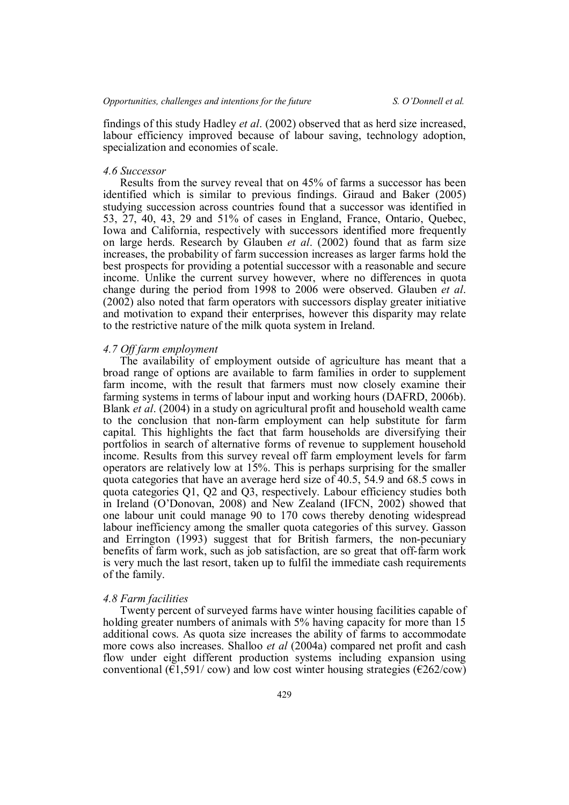findings of this study Hadley *et al*. (2002) observed that as herd size increased, labour efficiency improved because of labour saving, technology adoption, specialization and economies of scale.

#### *4.6 Successor*

Results from the survey reveal that on 45% of farms a successor has been identified which is similar to previous findings. Giraud and Baker (2005) studying succession across countries found that a successor was identified in 53, 27, 40, 43, 29 and 51% of cases in England, France, Ontario, Quebec, Iowa and California, respectively with successors identified more frequently on large herds. Research by Glauben *et al*. (2002) found that as farm size increases, the probability of farm succession increases as larger farms hold the best prospects for providing a potential successor with a reasonable and secure income. Unlike the current survey however, where no differences in quota change during the period from 1998 to 2006 were observed. Glauben *et al*. (2002) also noted that farm operators with successors display greater initiative and motivation to expand their enterprises, however this disparity may relate to the restrictive nature of the milk quota system in Ireland.

## *4.7 Off farm employment*

The availability of employment outside of agriculture has meant that a broad range of options are available to farm families in order to supplement farm income, with the result that farmers must now closely examine their farming systems in terms of labour input and working hours (DAFRD, 2006b). Blank *et al*. (2004) in a study on agricultural profit and household wealth came to the conclusion that non-farm employment can help substitute for farm capital. This highlights the fact that farm households are diversifying their portfolios in search of alternative forms of revenue to supplement household income. Results from this survey reveal off farm employment levels for farm operators are relatively low at 15%. This is perhaps surprising for the smaller quota categories that have an average herd size of 40.5, 54.9 and 68.5 cows in quota categories Q1, Q2 and Q3, respectively. Labour efficiency studies both in Ireland (O'Donovan, 2008) and New Zealand (IFCN, 2002) showed that one labour unit could manage 90 to 170 cows thereby denoting widespread labour inefficiency among the smaller quota categories of this survey. Gasson and Errington (1993) suggest that for British farmers, the non-pecuniary benefits of farm work, such as job satisfaction, are so great that off-farm work is very much the last resort, taken up to fulfil the immediate cash requirements of the family.

## *4.8 Farm facilities*

Twenty percent of surveyed farms have winter housing facilities capable of holding greater numbers of animals with 5% having capacity for more than 15 additional cows. As quota size increases the ability of farms to accommodate more cows also increases. Shalloo *et al* (2004a) compared net profit and cash flow under eight different production systems including expansion using conventional ( $\epsilon$ 1,591/cow) and low cost winter housing strategies ( $\epsilon$ 262/cow)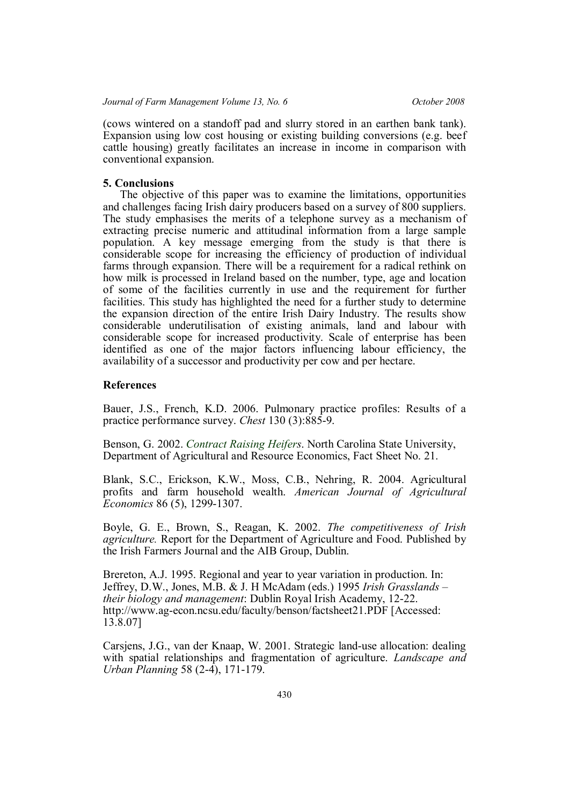(cows wintered on a standoff pad and slurry stored in an earthen bank tank). Expansion using low cost housing or existing building conversions (e.g. beef cattle housing) greatly facilitates an increase in income in comparison with conventional expansion.

## **5. Conclusions**

The objective of this paper was to examine the limitations, opportunities and challenges facing Irish dairy producers based on a survey of 800 suppliers. The study emphasises the merits of a telephone survey as a mechanism of extracting precise numeric and attitudinal information from a large sample population. A key message emerging from the study is that there is considerable scope for increasing the efficiency of production of individual farms through expansion. There will be a requirement for a radical rethink on how milk is processed in Ireland based on the number, type, age and location of some of the facilities currently in use and the requirement for further facilities. This study has highlighted the need for a further study to determine the expansion direction of the entire Irish Dairy Industry. The results show considerable underutilisation of existing animals, land and labour with considerable scope for increased productivity. Scale of enterprise has been identified as one of the major factors influencing labour efficiency, the availability of a successor and productivity per cow and per hectare.

## **References**

Bauer, J.S., French, K.D. 2006. Pulmonary practice profiles: Results of a practice performance survey. *Chest* 130 (3):885-9.

Benson, G. 2002. *Contract Raising Heifers*. North Carolina State University, Department of Agricultural and Resource Economics, Fact Sheet No. 21.

Blank, S.C., Erickson, K.W., Moss, C.B., Nehring, R. 2004. Agricultural profits and farm household wealth. *American Journal of Agricultural Economics* 86 (5), 1299-1307.

Boyle, G. E., Brown, S., Reagan, K. 2002. *The competitiveness of Irish agriculture.* Report for the Department of Agriculture and Food. Published by the Irish Farmers Journal and the AIB Group, Dublin.

Brereton, A.J. 1995. Regional and year to year variation in production. In: Jeffrey, D.W., Jones, M.B. & J. H McAdam (eds.) 1995 *Irish Grasslands – their biology and management*: Dublin Royal Irish Academy, 12-22. http://www.ag-econ.ncsu.edu/faculty/benson/factsheet21.PDF [Accessed: 13.8.07]

Carsjens, J.G., van der Knaap, W. 2001. Strategic land-use allocation: dealing with spatial relationships and fragmentation of agriculture. *Landscape and Urban Planning* 58 (2-4), 171-179.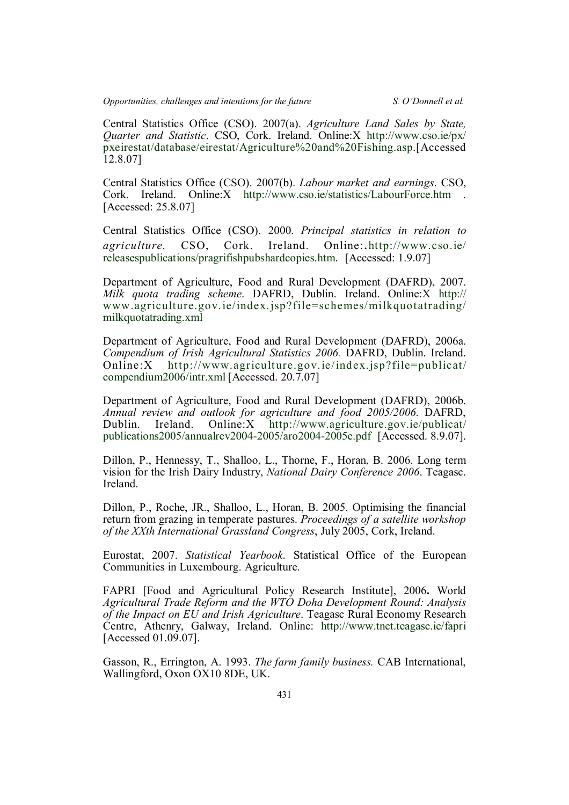Central Statistics Office (CSO). 2007(a). *Agriculture Land Sales by State, Quarter and Statistic*. CSO, Cork. Ireland. Online:X http://www.cso.ie/px/ pxeirestat/database/eirestat/Agriculture%20and%20Fishing.asp.[Accessed 12.8.07]

Central Statistics Office (CSO). 2007(b). *Labour market and earnings*. CSO, Cork. Ireland. Online:X http://www.cso.ie/statistics/LabourForce.htm . [Accessed: 25.8.07]

Central Statistics Office (CSO). 2000. *Principal statistics in relation to agriculture.* CSO, Cork. Ireland. Online:.http://www.cso.ie/ releasespublications/pragrifishpubshardcopies.htm. [Accessed: 1.9.07]

Department of Agriculture, Food and Rural Development (DAFRD), 2007. *Milk quota trading scheme*. DAFRD, Dublin. Ireland. Online:X http:// www.agriculture.gov.ie/index.jsp?file=schemes/milkquotatrading/ milkquotatrading.xml

Department of Agriculture, Food and Rural Development (DAFRD), 2006a. *Compendium of Irish Agricultural Statistics 2006.* DAFRD, Dublin. Ireland. Online:X http://www.agriculture.gov.ie/index.jsp?file=publicat/ compendium2006/intr.xml [Accessed. 20.7.07]

Department of Agriculture, Food and Rural Development (DAFRD), 2006b. *Annual review and outlook for agriculture and food 2005/2006*. DAFRD, Dublin. Ireland. Online:X http://www.agriculture.gov.ie/publicat/ publications2005/annualrev2004-2005/aro2004-2005e.pdf [Accessed. 8.9.07].

Dillon, P., Hennessy, T., Shalloo, L., Thorne, F., Horan, B. 2006. Long term vision for the Irish Dairy Industry, *National Dairy Conference 2006*. Teagasc. Ireland.

Dillon, P., Roche, JR., Shalloo, L., Horan, B. 2005. Optimising the financial return from grazing in temperate pastures. *Proceedings of a satellite workshop of the XXth International Grassland Congress*, July 2005, Cork, Ireland.

Eurostat, 2007. *Statistical Yearbook*. Statistical Office of the European Communities in Luxembourg. Agriculture.

FAPRI [Food and Agricultural Policy Research Institute], 2006**.** World *Agricultural Trade Reform and the WTO Doha Development Round: Analysis of the Impact on EU and Irish Agriculture*. Teagasc Rural Economy Research Centre, Athenry, Galway, Ireland. Online: http://www.tnet.teagasc.ie/fapri [Accessed 01.09.07].

Gasson, R., Errington, A. 1993. *The farm family business.* CAB International, Wallingford, Oxon OX10 8DE, UK.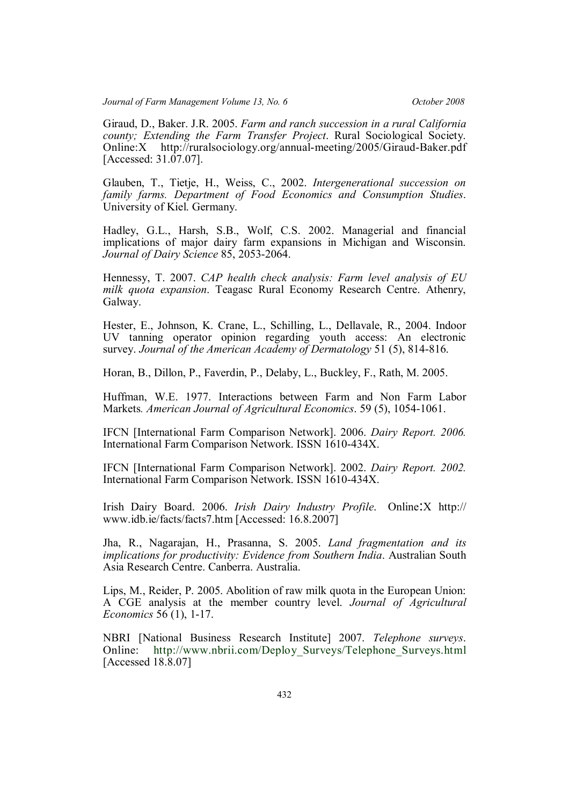Giraud, D., Baker. J.R. 2005. *Farm and ranch succession in a rural California county; Extending the Farm Transfer Project*. Rural Sociological Society. Online:X http://ruralsociology.org/annual-meeting/2005/Giraud-Baker.pdf [Accessed: 31.07.07].

Glauben, T., Tietje, H., Weiss, C., 2002. *Intergenerational succession on family farms. Department of Food Economics and Consumption Studies*. University of Kiel. Germany.

Hadley, G.L., Harsh, S.B., Wolf, C.S. 2002. Managerial and financial implications of major dairy farm expansions in Michigan and Wisconsin. *Journal of Dairy Science* 85, 2053-2064.

Hennessy, T. 2007. *CAP health check analysis: Farm level analysis of EU milk quota expansion*. Teagasc Rural Economy Research Centre. Athenry, Galway.

Hester, E., Johnson, K. Crane, L., Schilling, L., Dellavale, R., 2004. Indoor UV tanning operator opinion regarding youth access: An electronic survey. *Journal of the American Academy of Dermatology* 51 (5), 814-816.

Horan, B., Dillon, P., Faverdin, P., Delaby, L., Buckley, F., Rath, M. 2005.

Huffman, W.E. 1977. Interactions between Farm and Non Farm Labor Markets*. American Journal of Agricultural Economics*. 59 (5), 1054-1061.

IFCN [International Farm Comparison Network]. 2006. *Dairy Report. 2006.* International Farm Comparison Network. ISSN 1610-434X.

IFCN [International Farm Comparison Network]. 2002. *Dairy Report. 2002.* International Farm Comparison Network. ISSN 1610-434X.

Irish Dairy Board. 2006. *Irish Dairy Industry Profile*. Online:X http:// www.idb.ie/facts/facts7.htm [Accessed: 16.8.2007]

Jha, R., Nagarajan, H., Prasanna, S. 2005. *Land fragmentation and its implications for productivity: Evidence from Southern India*. Australian South Asia Research Centre. Canberra. Australia.

Lips, M., Reider, P. 2005. Abolition of raw milk quota in the European Union: A CGE analysis at the member country level. *Journal of Agricultural Economics* 56 (1), 1-17.

NBRI [National Business Research Institute] 2007. *Telephone surveys*. Online: http://www.nbrii.com/Deploy\_Surveys/Telephone\_Surveys.html [Accessed 18.8.07]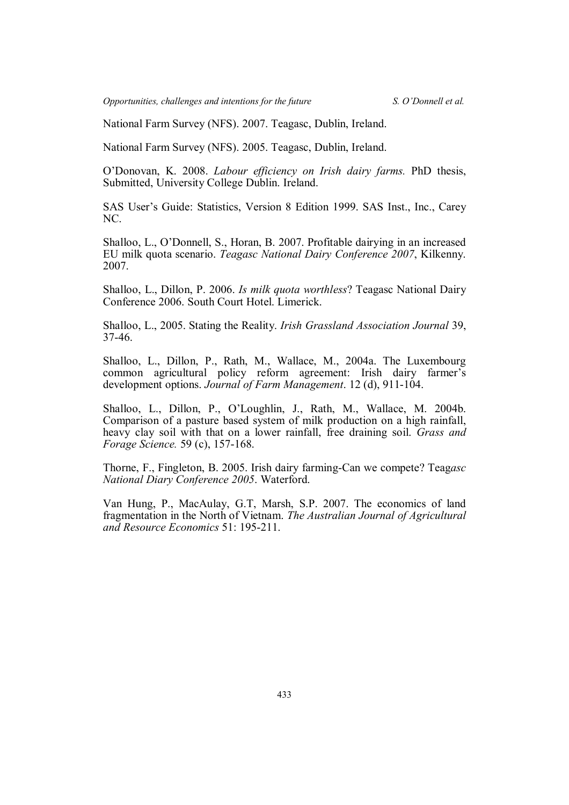National Farm Survey (NFS). 2007. Teagasc, Dublin, Ireland.

National Farm Survey (NFS). 2005. Teagasc, Dublin, Ireland.

O'Donovan, K. 2008. *Labour efficiency on Irish dairy farms.* PhD thesis, Submitted, University College Dublin. Ireland.

SAS User's Guide: Statistics, Version 8 Edition 1999. SAS Inst., Inc., Carey NC.

Shalloo, L., O'Donnell, S., Horan, B. 2007. Profitable dairying in an increased EU milk quota scenario. *Teagasc National Dairy Conference 2007*, Kilkenny. 2007.

Shalloo, L., Dillon, P. 2006. *Is milk quota worthless*? Teagasc National Dairy Conference 2006. South Court Hotel. Limerick.

Shalloo, L., 2005. Stating the Reality. *Irish Grassland Association Journal* 39, 37-46.

Shalloo, L., Dillon, P., Rath, M., Wallace, M., 2004a. The Luxembourg common agricultural policy reform agreement: Irish dairy farmer's development options. *Journal of Farm Management*. 12 (d), 911-104.

Shalloo, L., Dillon, P., O'Loughlin, J., Rath, M., Wallace, M. 2004b. Comparison of a pasture based system of milk production on a high rainfall, heavy clay soil with that on a lower rainfall, free draining soil. *Grass and Forage Science.* 59 (c), 157-168.

Thorne, F., Fingleton, B. 2005. Irish dairy farming-Can we compete? Teag*asc National Diary Conference 2005*. Waterford.

Van Hung, P., MacAulay, G.T, Marsh, S.P. 2007. The economics of land fragmentation in the North of Vietnam. *The Australian Journal of Agricultural and Resource Economics* 51: 195-211.